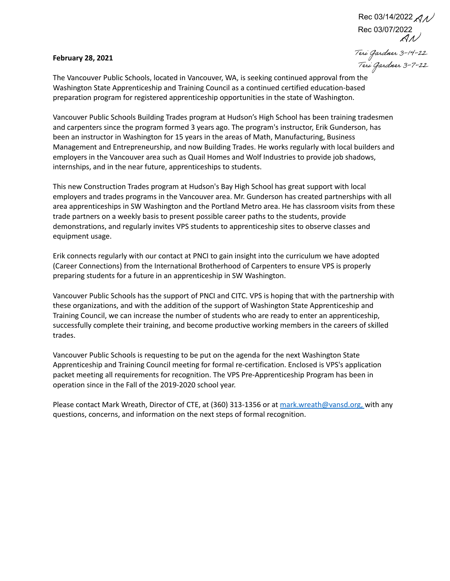#### **February 28, 2021**

Rec 03/07/2022 Rec 03/14/2022 $\mathcal{AN}$ 

AY/V<br>Teni Gardner 3-14-22<br>The Vancouver Public Schools, located in Vancouver, WA, is seeking continued approval from the Washington State Apprenticeship and Training Council as a continued certified education-based preparation program for registered apprenticeship opportunities in the state of Washington.

Vancouver Public Schools Building Trades program at Hudson's High School has been training tradesmen and carpenters since the program formed 3 years ago. The program's instructor, Erik Gunderson, has been an instructor in Washington for 15 years in the areas of Math, Manufacturing, Business Management and Entrepreneurship, and now Building Trades. He works regularly with local builders and employers in the Vancouver area such as Quail Homes and Wolf Industries to provide job shadows, internships, and in the near future, apprenticeships to students.

This new Construction Trades program at Hudson's Bay High School has great support with local employers and trades programs in the Vancouver area. Mr. Gunderson has created partnerships with all area apprenticeships in SW Washington and the Portland Metro area. He has classroom visits from these trade partners on a weekly basis to present possible career paths to the students, provide demonstrations, and regularly invites VPS students to apprenticeship sites to observe classes and equipment usage.

Erik connects regularly with our contact at PNCI to gain insight into the curriculum we have adopted (Career Connections) from the International Brotherhood of Carpenters to ensure VPS is properly preparing students for a future in an apprenticeship in SW Washington.

Vancouver Public Schools has the support of PNCI and CITC. VPS is hoping that with the partnership with these organizations, and with the addition of the support of Washington State Apprenticeship and Training Council, we can increase the number of students who are ready to enter an apprenticeship, successfully complete their training, and become productive working members in the careers of skilled trades.

Vancouver Public Schools is requesting to be put on the agenda for the next Washington State Apprenticeship and Training Council meeting for formal re-certification. Enclosed is VPS's application packet meeting all requirements for recognition. The VPS Pre-Apprenticeship Program has been in operation since in the Fall of the 2019-2020 school year.

Please contact Mark Wreath, Director of CTE, at (360) 313-1356 or at [mark.wreath@vansd.org,](mailto:mark.wreath@vansd.org) with any questions, concerns, and information on the next steps of formal recognition.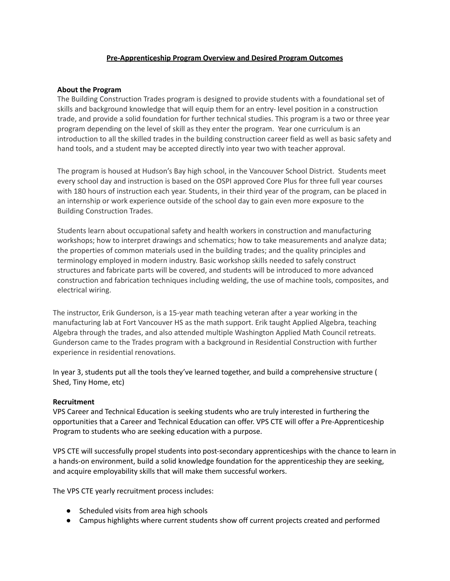### **Pre-Apprenticeship Program Overview and Desired Program Outcomes**

### **About the Program**

The Building Construction Trades program is designed to provide students with a foundational set of skills and background knowledge that will equip them for an entry- level position in a construction trade, and provide a solid foundation for further technical studies. This program is a two or three year program depending on the level of skill as they enter the program. Year one curriculum is an introduction to all the skilled trades in the building construction career field as well as basic safety and hand tools, and a student may be accepted directly into year two with teacher approval.

The program is housed at Hudson's Bay high school, in the Vancouver School District. Students meet every school day and instruction is based on the OSPI approved Core Plus for three full year courses with 180 hours of instruction each year. Students, in their third year of the program, can be placed in an internship or work experience outside of the school day to gain even more exposure to the Building Construction Trades.

Students learn about occupational safety and health workers in construction and manufacturing workshops; how to interpret drawings and schematics; how to take measurements and analyze data; the properties of common materials used in the building trades; and the quality principles and terminology employed in modern industry. Basic workshop skills needed to safely construct structures and fabricate parts will be covered, and students will be introduced to more advanced construction and fabrication techniques including welding, the use of machine tools, composites, and electrical wiring.

The instructor, Erik Gunderson, is a 15-year math teaching veteran after a year working in the manufacturing lab at Fort Vancouver HS as the math support. Erik taught Applied Algebra, teaching Algebra through the trades, and also attended multiple Washington Applied Math Council retreats. Gunderson came to the Trades program with a background in Residential Construction with further experience in residential renovations.

In year 3, students put all the tools they've learned together, and build a comprehensive structure ( Shed, Tiny Home, etc)

### **Recruitment**

VPS Career and Technical Education is seeking students who are truly interested in furthering the opportunities that a Career and Technical Education can offer. VPS CTE will offer a Pre-Apprenticeship Program to students who are seeking education with a purpose.

VPS CTE will successfully propel students into post-secondary apprenticeships with the chance to learn in a hands-on environment, build a solid knowledge foundation for the apprenticeship they are seeking, and acquire employability skills that will make them successful workers.

The VPS CTE yearly recruitment process includes:

- Scheduled visits from area high schools
- Campus highlights where current students show off current projects created and performed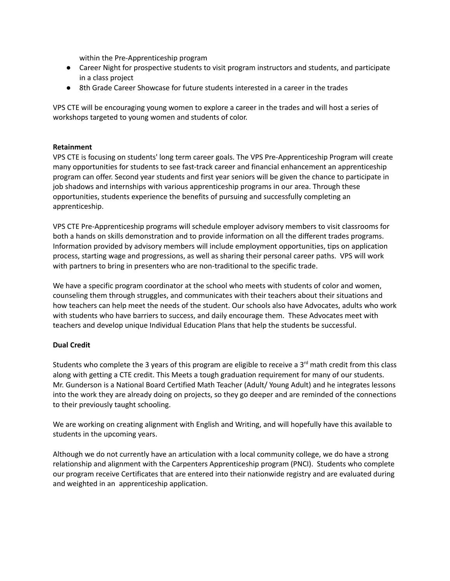within the Pre-Apprenticeship program

- Career Night for prospective students to visit program instructors and students, and participate in a class project
- 8th Grade Career Showcase for future students interested in a career in the trades

VPS CTE will be encouraging young women to explore a career in the trades and will host a series of workshops targeted to young women and students of color.

#### **Retainment**

VPS CTE is focusing on students' long term career goals. The VPS Pre-Apprenticeship Program will create many opportunities for students to see fast-track career and financial enhancement an apprenticeship program can offer. Second year students and first year seniors will be given the chance to participate in job shadows and internships with various apprenticeship programs in our area. Through these opportunities, students experience the benefits of pursuing and successfully completing an apprenticeship.

VPS CTE Pre-Apprenticeship programs will schedule employer advisory members to visit classrooms for both a hands on skills demonstration and to provide information on all the different trades programs. Information provided by advisory members will include employment opportunities, tips on application process, starting wage and progressions, as well as sharing their personal career paths. VPS will work with partners to bring in presenters who are non-traditional to the specific trade.

We have a specific program coordinator at the school who meets with students of color and women, counseling them through struggles, and communicates with their teachers about their situations and how teachers can help meet the needs of the student. Our schools also have Advocates, adults who work with students who have barriers to success, and daily encourage them. These Advocates meet with teachers and develop unique Individual Education Plans that help the students be successful.

### **Dual Credit**

Students who complete the 3 years of this program are eligible to receive a 3<sup>rd</sup> math credit from this class along with getting a CTE credit. This Meets a tough graduation requirement for many of our students. Mr. Gunderson is a National Board Certified Math Teacher (Adult/ Young Adult) and he integrates lessons into the work they are already doing on projects, so they go deeper and are reminded of the connections to their previously taught schooling.

We are working on creating alignment with English and Writing, and will hopefully have this available to students in the upcoming years.

Although we do not currently have an articulation with a local community college, we do have a strong relationship and alignment with the Carpenters Apprenticeship program (PNCI). Students who complete our program receive Certificates that are entered into their nationwide registry and are evaluated during and weighted in an apprenticeship application.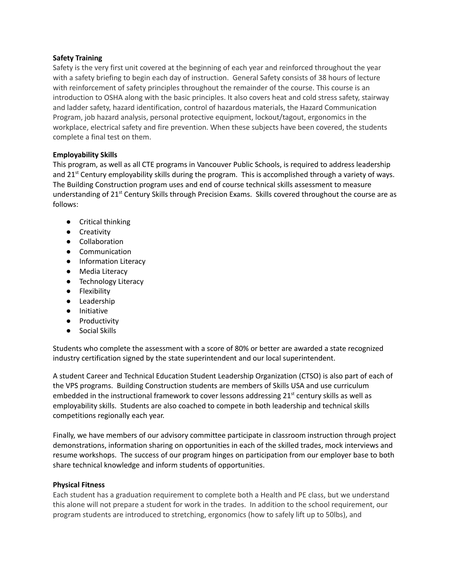### **Safety Training**

Safety is the very first unit covered at the beginning of each year and reinforced throughout the year with a safety briefing to begin each day of instruction. General Safety consists of 38 hours of lecture with reinforcement of safety principles throughout the remainder of the course. This course is an introduction to OSHA along with the basic principles. It also covers heat and cold stress safety, stairway and ladder safety, hazard identification, control of hazardous materials, the Hazard Communication Program, job hazard analysis, personal protective equipment, lockout/tagout, ergonomics in the workplace, electrical safety and fire prevention. When these subjects have been covered, the students complete a final test on them.

# **Employability Skills**

This program, as well as all CTE programs in Vancouver Public Schools, is required to address leadership and 21<sup>st</sup> Century employability skills during the program. This is accomplished through a variety of ways. The Building Construction program uses and end of course technical skills assessment to measure understanding of 21<sup>st</sup> Century Skills through Precision Exams. Skills covered throughout the course are as follows:

- Critical thinking
- Creativity
- Collaboration
- Communication
- Information Literacy
- Media Literacy
- Technology Literacy
- Flexibility
- Leadership
- Initiative
- Productivity
- Social Skills

Students who complete the assessment with a score of 80% or better are awarded a state recognized industry certification signed by the state superintendent and our local superintendent.

A student Career and Technical Education Student Leadership Organization (CTSO) is also part of each of the VPS programs. Building Construction students are members of Skills USA and use curriculum embedded in the instructional framework to cover lessons addressing 21<sup>st</sup> century skills as well as employability skills. Students are also coached to compete in both leadership and technical skills competitions regionally each year.

Finally, we have members of our advisory committee participate in classroom instruction through project demonstrations, information sharing on opportunities in each of the skilled trades, mock interviews and resume workshops. The success of our program hinges on participation from our employer base to both share technical knowledge and inform students of opportunities.

# **Physical Fitness**

Each student has a graduation requirement to complete both a Health and PE class, but we understand this alone will not prepare a student for work in the trades. In addition to the school requirement, our program students are introduced to stretching, ergonomics (how to safely lift up to 50lbs), and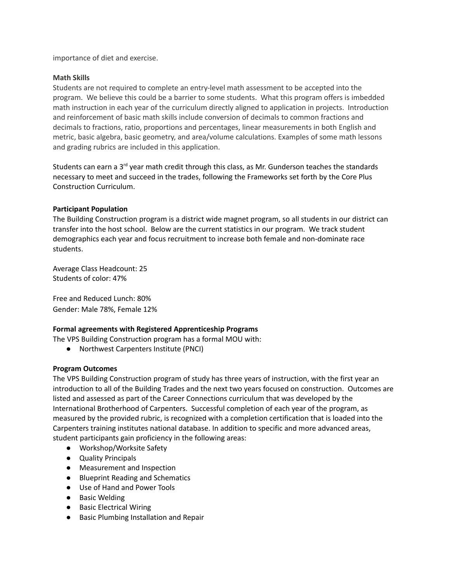importance of diet and exercise.

### **Math Skills**

Students are not required to complete an entry-level math assessment to be accepted into the program. We believe this could be a barrier to some students. What this program offers is imbedded math instruction in each year of the curriculum directly aligned to application in projects. Introduction and reinforcement of basic math skills include conversion of decimals to common fractions and decimals to fractions, ratio, proportions and percentages, linear measurements in both English and metric, basic algebra, basic geometry, and area/volume calculations. Examples of some math lessons and grading rubrics are included in this application.

Students can earn a 3<sup>rd</sup> year math credit through this class, as Mr. Gunderson teaches the standards necessary to meet and succeed in the trades, following the Frameworks set forth by the Core Plus Construction Curriculum.

#### **Participant Population**

The Building Construction program is a district wide magnet program, so all students in our district can transfer into the host school. Below are the current statistics in our program. We track student demographics each year and focus recruitment to increase both female and non-dominate race students.

Average Class Headcount: 25 Students of color: 47%

Free and Reduced Lunch: 80% Gender: Male 78%, Female 12%

### **Formal agreements with Registered Apprenticeship Programs**

The VPS Building Construction program has a formal MOU with:

● Northwest Carpenters Institute (PNCI)

#### **Program Outcomes**

The VPS Building Construction program of study has three years of instruction, with the first year an introduction to all of the Building Trades and the next two years focused on construction. Outcomes are listed and assessed as part of the Career Connections curriculum that was developed by the International Brotherhood of Carpenters. Successful completion of each year of the program, as measured by the provided rubric, is recognized with a completion certification that is loaded into the Carpenters training institutes national database. In addition to specific and more advanced areas, student participants gain proficiency in the following areas:

- Workshop/Worksite Safety
- Quality Principals
- Measurement and Inspection
- Blueprint Reading and Schematics
- Use of Hand and Power Tools
- Basic Welding
- Basic Electrical Wiring
- Basic Plumbing Installation and Repair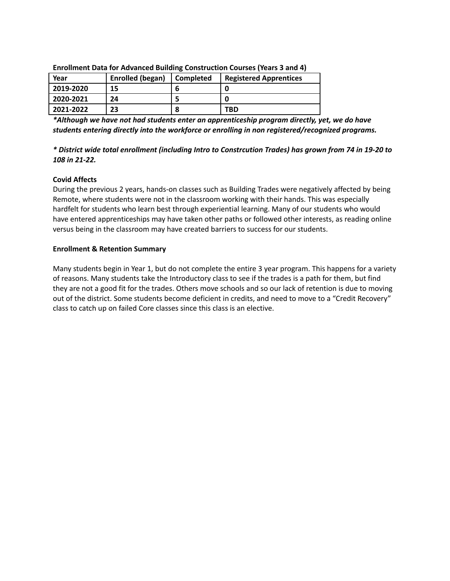| Year      | Enrolled (began) | <b>Completed</b> | <b>Registered Apprentices</b> |
|-----------|------------------|------------------|-------------------------------|
| 2019-2020 | 15               |                  |                               |
| 2020-2021 | 24               |                  |                               |
| 2021-2022 | 23               |                  | TBD                           |

#### **Enrollment Data for Advanced Building Construction Courses (Years 3 and 4)**

*\*Although we have not had students enter an apprenticeship program directly, yet, we do have students entering directly into the workforce or enrolling in non registered/recognized programs.*

# *\* District wide total enrollment (including Intro to Constrcution Trades) has grown from 74 in 19-20 to 108 in 21-22.*

# **Covid Affects**

During the previous 2 years, hands-on classes such as Building Trades were negatively affected by being Remote, where students were not in the classroom working with their hands. This was especially hardfelt for students who learn best through experiential learning. Many of our students who would have entered apprenticeships may have taken other paths or followed other interests, as reading online versus being in the classroom may have created barriers to success for our students.

### **Enrollment & Retention Summary**

Many students begin in Year 1, but do not complete the entire 3 year program. This happens for a variety of reasons. Many students take the Introductory class to see if the trades is a path for them, but find they are not a good fit for the trades. Others move schools and so our lack of retention is due to moving out of the district. Some students become deficient in credits, and need to move to a "Credit Recovery" class to catch up on failed Core classes since this class is an elective.